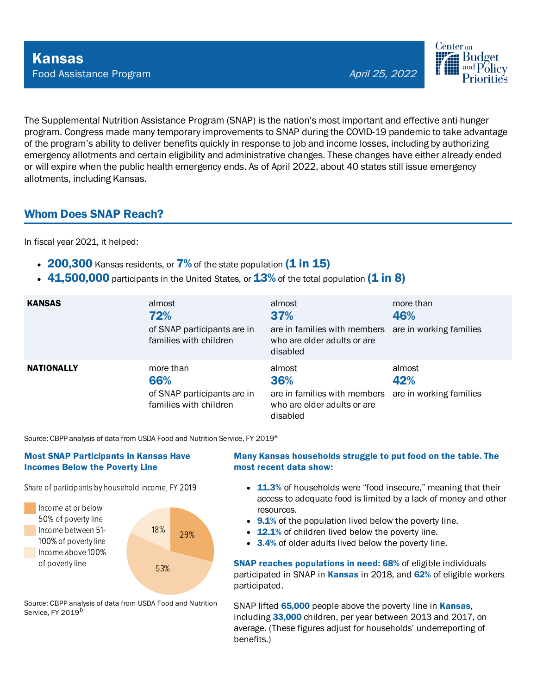

The Supplemental Nutrition Assistance Program (SNAP) is the nation's most important and effective anti-hunger program. Congress made many temporary improvements to SNAP during the COVID-19 pandemic to take advantage of the program's ability to deliver benefits quickly in response to job and income losses, including by authorizing emergency allotments and certain eligibility and administrative changes. These changes have either already ended or will expire when the public health emergency ends. As of April 2022, about 40 states still issue emergency allotments, including Kansas.

# Whom Does SNAP Reach?

In fiscal year 2021, it helped:

- 200,300 Kansas residents, or  $7\%$  of the state population  $(1 \text{ in } 15)$
- $\cdot$  41,500,000 participants in the United States, or  $13\%$  of the total population (1 in 8)

| <b>KANSAS</b>     | almost<br>72%<br>of SNAP participants are in<br>families with children    | almost<br><b>37%</b><br>are in families with members are in working families<br>who are older adults or are<br>disabled | more than<br>46% |
|-------------------|---------------------------------------------------------------------------|-------------------------------------------------------------------------------------------------------------------------|------------------|
| <b>NATIONALLY</b> | more than<br>66%<br>of SNAP participants are in<br>families with children | almost<br>36%<br>are in families with members are in working families<br>who are older adults or are<br>disabled        | almost<br>42%    |

Source: CBPP analysis of data from USDA Food and Nutrition Service, FY 2019<sup>a</sup>

### Most SNAP Participants in Kansas Have Incomes Below the Poverty Line

Share of participants by household income, FY 2019



Source: CBPP analysis of data from USDA Food and Nutrition Service, FY 2019<sup>b</sup>

## Many Kansas households struggle to put food on the table. The most recent data show:

- 11.3% of households were "food insecure," meaning that their access to adequate food is limited by a lack of money and other resources.
- 9.1% of the population lived below the poverty line.
- 12.1% of children lived below the poverty line.
- 3.4% of older adults lived below the poverty line.

SNAP reaches populations in need: 68% of eligible individuals participated in SNAP in Kansas in 2018, and 62% of eligible workers participated.

SNAP lifted 65,000 people above the poverty line in Kansas, including 33,000 children, per year between 2013 and 2017, on average. (These figures adjust for households' underreporting of benefits.)